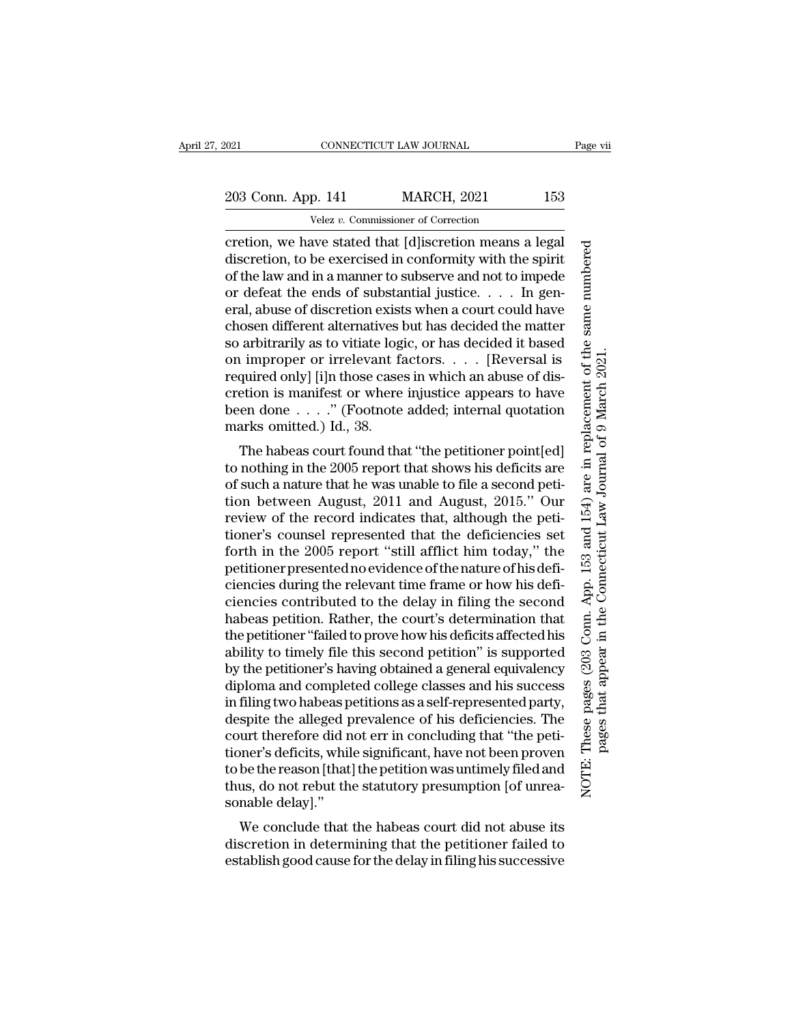203 Conn. App. 141 MARCH, 2021 153

Velez *v.* Commissioner of Correction

cretion, we have stated that [d]iscretion means a legal discretion, to be exercised in conformity with the spirit of the law and in a manner to subserve and not to impede or defeat the ends of substantial justice. . . . In general, abuse of discretion exists when a court could have chosen different alternatives but has decided the matter so arbitrarily as to vitiate logic, or has decided it based on improper or irrelevant factors. . . . [Reversal is required only] [i]n those cases in which an abuse of discretion is manifest or where injustice appears to have been done . . . .'' (Footnote added; internal quotation marks omitted.) Id., 38.

The habeas court found that ''the petitioner point[ed] to nothing in the 2005 report that shows his deficits are of such a nature that he was unable to file a second petition between August, 2011 and August, 2015.'' Our review of the record indicates that, although the petitioner's counsel represented that the deficiencies set forth in the 2005 report ''still afflict him today,'' the petitioner presented no evidence of the nature of his deficiencies during the relevant time frame or how his deficiencies contributed to the delay in filing the second habeas petition. Rather, the court's determination that the petitioner ''failed to prove how his deficits affected his ability to timely file this second petition'' is supported by the petitioner's having obtained a general equivalency diploma and completed college classes and his success in filing two habeas petitions as a self-represented party, despite the alleged prevalence of his deficiencies. The court therefore did not err in concluding that ''the petitioner's deficits, while significant, have not been proven to be the reason [that] the petition was untimely filed and thus, do not rebut the statutory presumption [of unreasonable delay].''

We conclude that the habeas court did not abuse its discretion in determining that the petitioner failed to establish good cause for the delay in filing his successive

These pages (203 Conn. App. 153 and 154) are in replacement of the same numbered NOTE: These pages (203 Conn. App. 153 and 154) are in replacement of the same numbered pages that appear in the Connecticut Law Journal of 9 March 2021.pages that appear in the Connecticut Law Journal of 9 March 2021

NOTE: